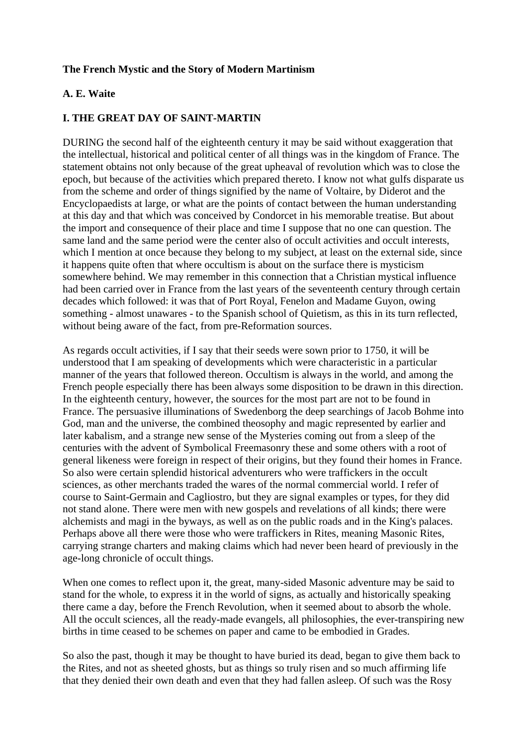## **The French Mystic and the Story of Modern Martinism**

## **A. E. Waite**

### **I. THE GREAT DAY OF SAINT-MARTIN**

DURING the second half of the eighteenth century it may be said without exaggeration that the intellectual, historical and political center of all things was in the kingdom of France. The statement obtains not only because of the great upheaval of revolution which was to close the epoch, but because of the activities which prepared thereto. I know not what gulfs disparate us from the scheme and order of things signified by the name of Voltaire, by Diderot and the Encyclopaedists at large, or what are the points of contact between the human understanding at this day and that which was conceived by Condorcet in his memorable treatise. But about the import and consequence of their place and time I suppose that no one can question. The same land and the same period were the center also of occult activities and occult interests, which I mention at once because they belong to my subject, at least on the external side, since it happens quite often that where occultism is about on the surface there is mysticism somewhere behind. We may remember in this connection that a Christian mystical influence had been carried over in France from the last years of the seventeenth century through certain decades which followed: it was that of Port Royal, Fenelon and Madame Guyon, owing something - almost unawares - to the Spanish school of Quietism, as this in its turn reflected, without being aware of the fact, from pre-Reformation sources.

As regards occult activities, if I say that their seeds were sown prior to 1750, it will be understood that I am speaking of developments which were characteristic in a particular manner of the years that followed thereon. Occultism is always in the world, and among the French people especially there has been always some disposition to be drawn in this direction. In the eighteenth century, however, the sources for the most part are not to be found in France. The persuasive illuminations of Swedenborg the deep searchings of Jacob Bohme into God, man and the universe, the combined theosophy and magic represented by earlier and later kabalism, and a strange new sense of the Mysteries coming out from a sleep of the centuries with the advent of Symbolical Freemasonry these and some others with a root of general likeness were foreign in respect of their origins, but they found their homes in France. So also were certain splendid historical adventurers who were traffickers in the occult sciences, as other merchants traded the wares of the normal commercial world. I refer of course to Saint-Germain and Cagliostro, but they are signal examples or types, for they did not stand alone. There were men with new gospels and revelations of all kinds; there were alchemists and magi in the byways, as well as on the public roads and in the King's palaces. Perhaps above all there were those who were traffickers in Rites, meaning Masonic Rites, carrying strange charters and making claims which had never been heard of previously in the age-long chronicle of occult things.

When one comes to reflect upon it, the great, many-sided Masonic adventure may be said to stand for the whole, to express it in the world of signs, as actually and historically speaking there came a day, before the French Revolution, when it seemed about to absorb the whole. All the occult sciences, all the ready-made evangels, all philosophies, the ever-transpiring new births in time ceased to be schemes on paper and came to be embodied in Grades.

So also the past, though it may be thought to have buried its dead, began to give them back to the Rites, and not as sheeted ghosts, but as things so truly risen and so much affirming life that they denied their own death and even that they had fallen asleep. Of such was the Rosy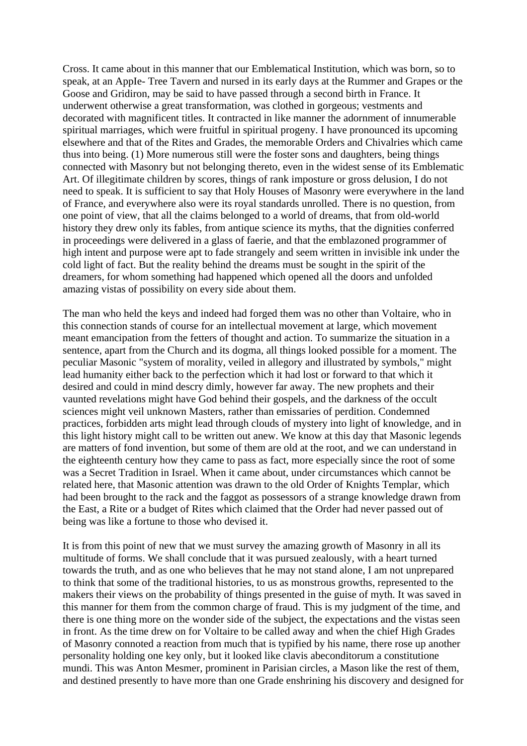Cross. It came about in this manner that our Emblematical Institution, which was born, so to speak, at an AppIe- Tree Tavern and nursed in its early days at the Rummer and Grapes or the Goose and Gridiron, may be said to have passed through a second birth in France. It underwent otherwise a great transformation, was clothed in gorgeous; vestments and decorated with magnificent titles. It contracted in like manner the adornment of innumerable spiritual marriages, which were fruitful in spiritual progeny. I have pronounced its upcoming elsewhere and that of the Rites and Grades, the memorable Orders and Chivalries which came thus into being. (1) More numerous still were the foster sons and daughters, being things connected with Masonry but not belonging thereto, even in the widest sense of its Emblematic Art. Of illegitimate children by scores, things of rank imposture or gross delusion, I do not need to speak. It is sufficient to say that Holy Houses of Masonry were everywhere in the land of France, and everywhere also were its royal standards unrolled. There is no question, from one point of view, that all the claims belonged to a world of dreams, that from old-world history they drew only its fables, from antique science its myths, that the dignities conferred in proceedings were delivered in a glass of faerie, and that the emblazoned programmer of high intent and purpose were apt to fade strangely and seem written in invisible ink under the cold light of fact. But the reality behind the dreams must be sought in the spirit of the dreamers, for whom something had happened which opened all the doors and unfolded amazing vistas of possibility on every side about them.

The man who held the keys and indeed had forged them was no other than Voltaire, who in this connection stands of course for an intellectual movement at large, which movement meant emancipation from the fetters of thought and action. To summarize the situation in a sentence, apart from the Church and its dogma, all things looked possible for a moment. The peculiar Masonic "system of morality, veiled in allegory and illustrated by symbols," might lead humanity either back to the perfection which it had lost or forward to that which it desired and could in mind descry dimly, however far away. The new prophets and their vaunted revelations might have God behind their gospels, and the darkness of the occult sciences might veil unknown Masters, rather than emissaries of perdition. Condemned practices, forbidden arts might lead through clouds of mystery into light of knowledge, and in this light history might call to be written out anew. We know at this day that Masonic legends are matters of fond invention, but some of them are old at the root, and we can understand in the eighteenth century how they came to pass as fact, more especially since the root of some was a Secret Tradition in Israel. When it came about, under circumstances which cannot be related here, that Masonic attention was drawn to the old Order of Knights Templar, which had been brought to the rack and the faggot as possessors of a strange knowledge drawn from the East, a Rite or a budget of Rites which claimed that the Order had never passed out of being was like a fortune to those who devised it.

It is from this point of new that we must survey the amazing growth of Masonry in all its multitude of forms. We shall conclude that it was pursued zealously, with a heart turned towards the truth, and as one who believes that he may not stand alone, I am not unprepared to think that some of the traditional histories, to us as monstrous growths, represented to the makers their views on the probability of things presented in the guise of myth. It was saved in this manner for them from the common charge of fraud. This is my judgment of the time, and there is one thing more on the wonder side of the subject, the expectations and the vistas seen in front. As the time drew on for Voltaire to be called away and when the chief High Grades of Masonry connoted a reaction from much that is typified by his name, there rose up another personality holding one key only, but it looked like clavis abeconditorum a constitutione mundi. This was Anton Mesmer, prominent in Parisian circles, a Mason like the rest of them, and destined presently to have more than one Grade enshrining his discovery and designed for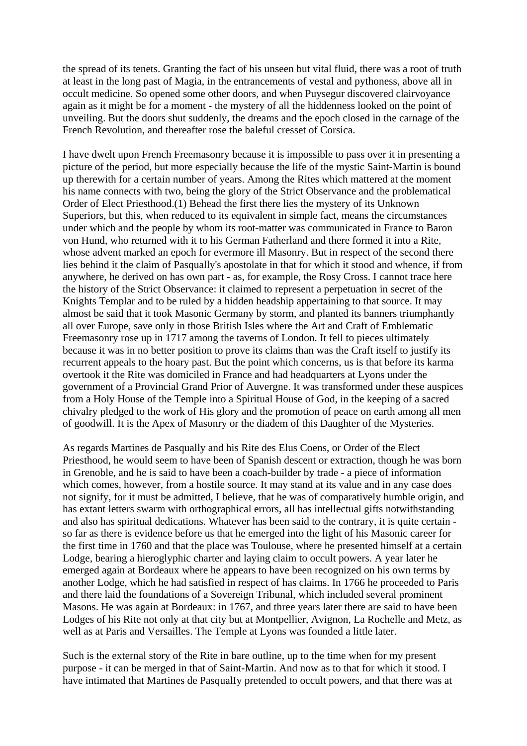the spread of its tenets. Granting the fact of his unseen but vital fluid, there was a root of truth at least in the long past of Magia, in the entrancements of vestal and pythoness, above all in occult medicine. So opened some other doors, and when Puysegur discovered clairvoyance again as it might be for a moment - the mystery of all the hiddenness looked on the point of unveiling. But the doors shut suddenly, the dreams and the epoch closed in the carnage of the French Revolution, and thereafter rose the baleful cresset of Corsica.

I have dwelt upon French Freemasonry because it is impossible to pass over it in presenting a picture of the period, but more especially because the life of the mystic Saint-Martin is bound up therewith for a certain number of years. Among the Rites which mattered at the moment his name connects with two, being the glory of the Strict Observance and the problematical Order of Elect Priesthood.(1) Behead the first there lies the mystery of its Unknown Superiors, but this, when reduced to its equivalent in simple fact, means the circumstances under which and the people by whom its root-matter was communicated in France to Baron von Hund, who returned with it to his German Fatherland and there formed it into a Rite, whose advent marked an epoch for evermore ill Masonry. But in respect of the second there lies behind it the claim of Pasqually's apostolate in that for which it stood and whence, if from anywhere, he derived on has own part - as, for example, the Rosy Cross. I cannot trace here the history of the Strict Observance: it claimed to represent a perpetuation in secret of the Knights Templar and to be ruled by a hidden headship appertaining to that source. It may almost be said that it took Masonic Germany by storm, and planted its banners triumphantly all over Europe, save only in those British Isles where the Art and Craft of Emblematic Freemasonry rose up in 1717 among the taverns of London. It fell to pieces ultimately because it was in no better position to prove its claims than was the Craft itself to justify its recurrent appeals to the hoary past. But the point which concerns, us is that before its karma overtook it the Rite was domiciled in France and had headquarters at Lyons under the government of a Provincial Grand Prior of Auvergne. It was transformed under these auspices from a Holy House of the Temple into a Spiritual House of God, in the keeping of a sacred chivalry pledged to the work of His glory and the promotion of peace on earth among all men of goodwill. It is the Apex of Masonry or the diadem of this Daughter of the Mysteries.

As regards Martines de Pasqually and his Rite des Elus Coens, or Order of the Elect Priesthood, he would seem to have been of Spanish descent or extraction, though he was born in Grenoble, and he is said to have been a coach-builder by trade - a piece of information which comes, however, from a hostile source. It may stand at its value and in any case does not signify, for it must be admitted, I believe, that he was of comparatively humble origin, and has extant letters swarm with orthographical errors, all has intellectual gifts notwithstanding and also has spiritual dedications. Whatever has been said to the contrary, it is quite certain so far as there is evidence before us that he emerged into the light of his Masonic career for the first time in 1760 and that the place was Toulouse, where he presented himself at a certain Lodge, bearing a hieroglyphic charter and laying claim to occult powers. A year later he emerged again at Bordeaux where he appears to have been recognized on his own terms by another Lodge, which he had satisfied in respect of has claims. In 1766 he proceeded to Paris and there laid the foundations of a Sovereign Tribunal, which included several prominent Masons. He was again at Bordeaux: in 1767, and three years later there are said to have been Lodges of his Rite not only at that city but at Montpellier, Avignon, La Rochelle and Metz, as well as at Paris and Versailles. The Temple at Lyons was founded a little later.

Such is the external story of the Rite in bare outline, up to the time when for my present purpose - it can be merged in that of Saint-Martin. And now as to that for which it stood. I have intimated that Martines de PasqualIy pretended to occult powers, and that there was at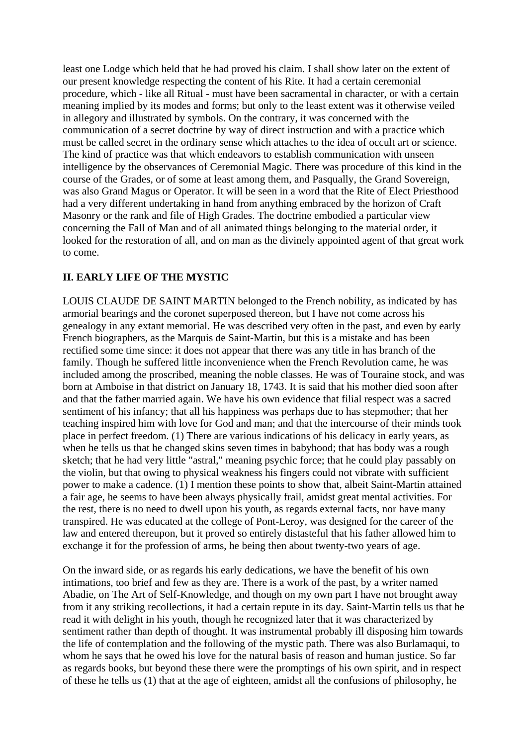least one Lodge which held that he had proved his claim. I shall show later on the extent of our present knowledge respecting the content of his Rite. It had a certain ceremonial procedure, which - like all Ritual - must have been sacramental in character, or with a certain meaning implied by its modes and forms; but only to the least extent was it otherwise veiled in allegory and illustrated by symbols. On the contrary, it was concerned with the communication of a secret doctrine by way of direct instruction and with a practice which must be called secret in the ordinary sense which attaches to the idea of occult art or science. The kind of practice was that which endeavors to establish communication with unseen intelligence by the observances of Ceremonial Magic. There was procedure of this kind in the course of the Grades, or of some at least among them, and Pasqually, the Grand Sovereign, was also Grand Magus or Operator. It will be seen in a word that the Rite of Elect Priesthood had a very different undertaking in hand from anything embraced by the horizon of Craft Masonry or the rank and file of High Grades. The doctrine embodied a particular view concerning the Fall of Man and of all animated things belonging to the material order, it looked for the restoration of all, and on man as the divinely appointed agent of that great work to come.

# **II. EARLY LIFE OF THE MYSTIC**

LOUIS CLAUDE DE SAINT MARTIN belonged to the French nobility, as indicated by has armorial bearings and the coronet superposed thereon, but I have not come across his genealogy in any extant memorial. He was described very often in the past, and even by early French biographers, as the Marquis de Saint-Martin, but this is a mistake and has been rectified some time since: it does not appear that there was any title in has branch of the family. Though he suffered little inconvenience when the French Revolution came, he was included among the proscribed, meaning the noble classes. He was of Touraine stock, and was born at Amboise in that district on January 18, 1743. It is said that his mother died soon after and that the father married again. We have his own evidence that filial respect was a sacred sentiment of his infancy; that all his happiness was perhaps due to has stepmother; that her teaching inspired him with love for God and man; and that the intercourse of their minds took place in perfect freedom. (1) There are various indications of his delicacy in early years, as when he tells us that he changed skins seven times in babyhood; that has body was a rough sketch; that he had very little "astral," meaning psychic force; that he could play passably on the violin, but that owing to physical weakness his fingers could not vibrate with sufficient power to make a cadence. (1) I mention these points to show that, albeit Saint-Martin attained a fair age, he seems to have been always physically frail, amidst great mental activities. For the rest, there is no need to dwell upon his youth, as regards external facts, nor have many transpired. He was educated at the college of Pont-Leroy, was designed for the career of the law and entered thereupon, but it proved so entirely distasteful that his father allowed him to exchange it for the profession of arms, he being then about twenty-two years of age.

On the inward side, or as regards his early dedications, we have the benefit of his own intimations, too brief and few as they are. There is a work of the past, by a writer named Abadie, on The Art of Self-Knowledge, and though on my own part I have not brought away from it any striking recollections, it had a certain repute in its day. Saint-Martin tells us that he read it with delight in his youth, though he recognized later that it was characterized by sentiment rather than depth of thought. It was instrumental probably ill disposing him towards the life of contemplation and the following of the mystic path. There was also Burlamaqui, to whom he says that he owed his love for the natural basis of reason and human justice. So far as regards books, but beyond these there were the promptings of his own spirit, and in respect of these he tells us (1) that at the age of eighteen, amidst all the confusions of philosophy, he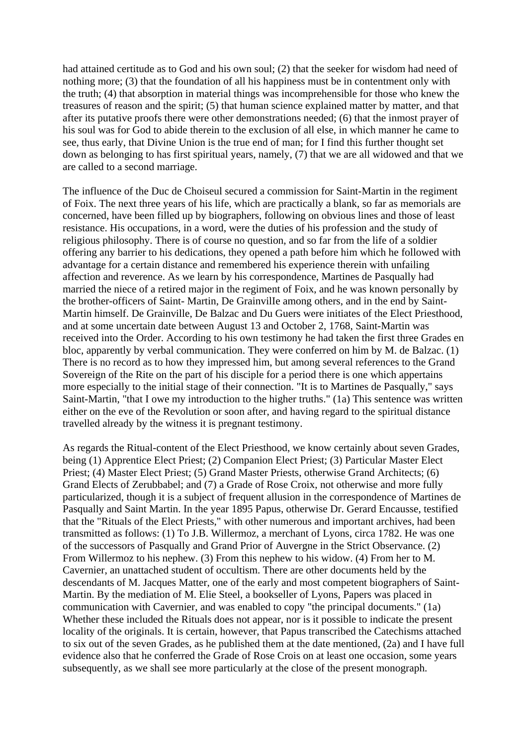had attained certitude as to God and his own soul; (2) that the seeker for wisdom had need of nothing more; (3) that the foundation of all his happiness must be in contentment only with the truth; (4) that absorption in material things was incomprehensible for those who knew the treasures of reason and the spirit; (5) that human science explained matter by matter, and that after its putative proofs there were other demonstrations needed; (6) that the inmost prayer of his soul was for God to abide therein to the exclusion of all else, in which manner he came to see, thus early, that Divine Union is the true end of man; for I find this further thought set down as belonging to has first spiritual years, namely, (7) that we are all widowed and that we are called to a second marriage.

The influence of the Duc de Choiseul secured a commission for Saint-Martin in the regiment of Foix. The next three years of his life, which are practically a blank, so far as memorials are concerned, have been filled up by biographers, following on obvious lines and those of least resistance. His occupations, in a word, were the duties of his profession and the study of religious philosophy. There is of course no question, and so far from the life of a soldier offering any barrier to his dedications, they opened a path before him which he followed with advantage for a certain distance and remembered his experience therein with unfailing affection and reverence. As we learn by his correspondence, Martines de Pasqually had married the niece of a retired major in the regiment of Foix, and he was known personally by the brother-officers of Saint- Martin, De GrainvilIe among others, and in the end by Saint-Martin himself. De Grainville, De Balzac and Du Guers were initiates of the Elect Priesthood, and at some uncertain date between August 13 and October 2, 1768, Saint-Martin was received into the Order. According to his own testimony he had taken the first three Grades en bloc, apparently by verbal communication. They were conferred on him by M. de Balzac. (1) There is no record as to how they impressed him, but among several references to the Grand Sovereign of the Rite on the part of his disciple for a period there is one which appertains more especially to the initial stage of their connection. "It is to Martines de Pasqually," says Saint-Martin, "that I owe my introduction to the higher truths." (1a) This sentence was written either on the eve of the Revolution or soon after, and having regard to the spiritual distance travelled already by the witness it is pregnant testimony.

As regards the Ritual-content of the Elect Priesthood, we know certainly about seven Grades, being (1) Apprentice Elect Priest; (2) Companion Elect Priest; (3) Particular Master Elect Priest; (4) Master Elect Priest; (5) Grand Master Priests, otherwise Grand Architects; (6) Grand Elects of Zerubbabel; and (7) a Grade of Rose Croix, not otherwise and more fully particularized, though it is a subject of frequent allusion in the correspondence of Martines de Pasqually and Saint Martin. In the year 1895 Papus, otherwise Dr. Gerard Encausse, testified that the "Rituals of the Elect Priests," with other numerous and important archives, had been transmitted as follows: (1) To J.B. Willermoz, a merchant of Lyons, circa 1782. He was one of the successors of Pasqually and Grand Prior of Auvergne in the Strict Observance. (2) From Willermoz to his nephew. (3) From this nephew to his widow. (4) From her to M. Cavernier, an unattached student of occultism. There are other documents held by the descendants of M. Jacques Matter, one of the early and most competent biographers of Saint-Martin. By the mediation of M. Elie Steel, a bookseller of Lyons, Papers was placed in communication with Cavernier, and was enabled to copy "the principal documents." (1a) Whether these included the Rituals does not appear, nor is it possible to indicate the present locality of the originals. It is certain, however, that Papus transcribed the Catechisms attached to six out of the seven Grades, as he published them at the date mentioned, (2a) and I have full evidence also that he conferred the Grade of Rose Crois on at least one occasion, some years subsequently, as we shall see more particularly at the close of the present monograph.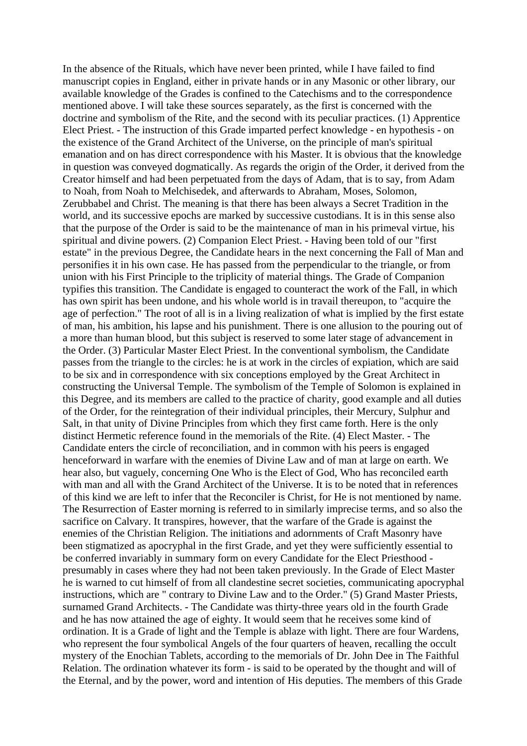In the absence of the Rituals, which have never been printed, while I have failed to find manuscript copies in England, either in private hands or in any Masonic or other library, our available knowledge of the Grades is confined to the Catechisms and to the correspondence mentioned above. I will take these sources separately, as the first is concerned with the doctrine and symbolism of the Rite, and the second with its peculiar practices. (1) Apprentice Elect Priest. - The instruction of this Grade imparted perfect knowledge - en hypothesis - on the existence of the Grand Architect of the Universe, on the principle of man's spiritual emanation and on has direct correspondence with his Master. It is obvious that the knowledge in question was conveyed dogmatically. As regards the origin of the Order, it derived from the Creator himself and had been perpetuated from the days of Adam, that is to say, from Adam to Noah, from Noah to Melchisedek, and afterwards to Abraham, Moses, Solomon, Zerubbabel and Christ. The meaning is that there has been always a Secret Tradition in the world, and its successive epochs are marked by successive custodians. It is in this sense also that the purpose of the Order is said to be the maintenance of man in his primeval virtue, his spiritual and divine powers. (2) Companion Elect Priest. - Having been told of our "first estate" in the previous Degree, the Candidate hears in the next concerning the Fall of Man and personifies it in his own case. He has passed from the perpendicular to the triangle, or from union with his First Principle to the triplicity of material things. The Grade of Companion typifies this transition. The Candidate is engaged to counteract the work of the Fall, in which has own spirit has been undone, and his whole world is in travail thereupon, to "acquire the age of perfection." The root of all is in a living realization of what is implied by the first estate of man, his ambition, his lapse and his punishment. There is one allusion to the pouring out of a more than human blood, but this subject is reserved to some later stage of advancement in the Order. (3) Particular Master Elect Priest. In the conventional symbolism, the Candidate passes from the triangle to the circles: he is at work in the circles of expiation, which are said to be six and in correspondence with six conceptions employed by the Great Architect in constructing the Universal Temple. The symbolism of the Temple of Solomon is explained in this Degree, and its members are called to the practice of charity, good example and all duties of the Order, for the reintegration of their individual principles, their Mercury, Sulphur and Salt, in that unity of Divine Principles from which they first came forth. Here is the only distinct Hermetic reference found in the memorials of the Rite. (4) Elect Master. - The Candidate enters the circle of reconciliation, and in common with his peers is engaged henceforward in warfare with the enemies of Divine Law and of man at large on earth. We hear also, but vaguely, concerning One Who is the Elect of God, Who has reconciled earth with man and all with the Grand Architect of the Universe. It is to be noted that in references of this kind we are left to infer that the Reconciler is Christ, for He is not mentioned by name. The Resurrection of Easter morning is referred to in similarly imprecise terms, and so also the sacrifice on Calvary. It transpires, however, that the warfare of the Grade is against the enemies of the Christian Religion. The initiations and adornments of Craft Masonry have been stigmatized as apocryphal in the first Grade, and yet they were sufficiently essential to be conferred invariably in summary form on every Candidate for the Elect Priesthood presumably in cases where they had not been taken previously. In the Grade of Elect Master he is warned to cut himself of from all clandestine secret societies, communicating apocryphal instructions, which are " contrary to Divine Law and to the Order." (5) Grand Master Priests, surnamed Grand Architects. - The Candidate was thirty-three years old in the fourth Grade and he has now attained the age of eighty. It would seem that he receives some kind of ordination. It is a Grade of light and the Temple is ablaze with light. There are four Wardens, who represent the four symbolical Angels of the four quarters of heaven, recalling the occult mystery of the Enochian Tablets, according to the memorials of Dr. John Dee in The Faithful Relation. The ordination whatever its form - is said to be operated by the thought and will of the Eternal, and by the power, word and intention of His deputies. The members of this Grade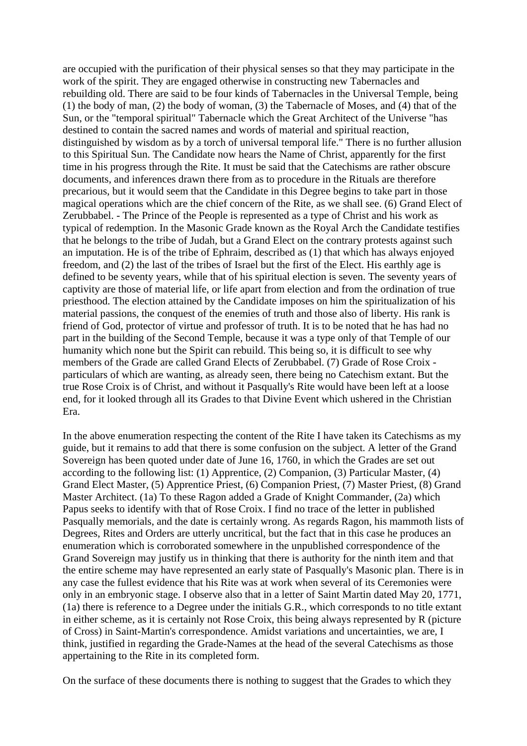are occupied with the purification of their physical senses so that they may participate in the work of the spirit. They are engaged otherwise in constructing new Tabernacles and rebuilding old. There are said to be four kinds of Tabernacles in the Universal Temple, being (1) the body of man, (2) the body of woman, (3) the Tabernacle of Moses, and (4) that of the Sun, or the "temporal spiritual" Tabernacle which the Great Architect of the Universe "has destined to contain the sacred names and words of material and spiritual reaction, distinguished by wisdom as by a torch of universal temporal life." There is no further allusion to this Spiritual Sun. The Candidate now hears the Name of Christ, apparently for the first time in his progress through the Rite. It must be said that the Catechisms are rather obscure documents, and inferences drawn there from as to procedure in the Rituals are therefore precarious, but it would seem that the Candidate in this Degree begins to take part in those magical operations which are the chief concern of the Rite, as we shall see. (6) Grand Elect of Zerubbabel. - The Prince of the People is represented as a type of Christ and his work as typical of redemption. In the Masonic Grade known as the Royal Arch the Candidate testifies that he belongs to the tribe of Judah, but a Grand Elect on the contrary protests against such an imputation. He is of the tribe of Ephraim, described as (1) that which has always enjoyed freedom, and (2) the last of the tribes of Israel but the first of the Elect. His earthly age is defined to be seventy years, while that of his spiritual election is seven. The seventy years of captivity are those of material life, or life apart from election and from the ordination of true priesthood. The election attained by the Candidate imposes on him the spiritualization of his material passions, the conquest of the enemies of truth and those also of liberty. His rank is friend of God, protector of virtue and professor of truth. It is to be noted that he has had no part in the building of the Second Temple, because it was a type only of that Temple of our humanity which none but the Spirit can rebuild. This being so, it is difficult to see why members of the Grade are called Grand Elects of Zerubbabel. (7) Grade of Rose Croix particulars of which are wanting, as already seen, there being no Catechism extant. But the true Rose Croix is of Christ, and without it Pasqually's Rite would have been left at a loose end, for it looked through all its Grades to that Divine Event which ushered in the Christian Era.

In the above enumeration respecting the content of the Rite I have taken its Catechisms as my guide, but it remains to add that there is some confusion on the subject. A letter of the Grand Sovereign has been quoted under date of June 16, 1760, in which the Grades are set out according to the following list: (1) Apprentice, (2) Companion, (3) Particular Master, (4) Grand Elect Master, (5) Apprentice Priest, (6) Companion Priest, (7) Master Priest, (8) Grand Master Architect. (1a) To these Ragon added a Grade of Knight Commander, (2a) which Papus seeks to identify with that of Rose Croix. I find no trace of the letter in published Pasqually memorials, and the date is certainly wrong. As regards Ragon, his mammoth lists of Degrees, Rites and Orders are utterly uncritical, but the fact that in this case he produces an enumeration which is corroborated somewhere in the unpublished correspondence of the Grand Sovereign may justify us in thinking that there is authority for the ninth item and that the entire scheme may have represented an early state of Pasqually's Masonic plan. There is in any case the fullest evidence that his Rite was at work when several of its Ceremonies were only in an embryonic stage. I observe also that in a letter of Saint Martin dated May 20, 1771, (1a) there is reference to a Degree under the initials G.R., which corresponds to no title extant in either scheme, as it is certainly not Rose Croix, this being always represented by R (picture of Cross) in Saint-Martin's correspondence. Amidst variations and uncertainties, we are, I think, justified in regarding the Grade-Names at the head of the several Catechisms as those appertaining to the Rite in its completed form.

On the surface of these documents there is nothing to suggest that the Grades to which they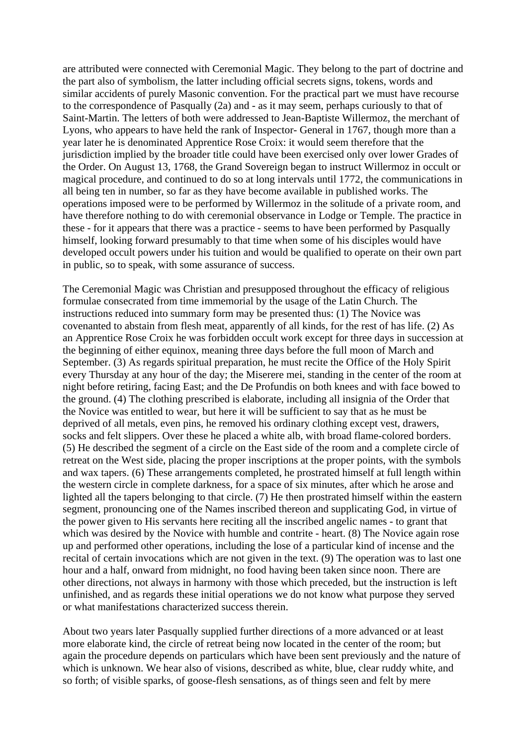are attributed were connected with Ceremonial Magic. They belong to the part of doctrine and the part also of symbolism, the latter including official secrets signs, tokens, words and similar accidents of purely Masonic convention. For the practical part we must have recourse to the correspondence of Pasqually (2a) and - as it may seem, perhaps curiously to that of Saint-Martin. The letters of both were addressed to Jean-Baptiste Willermoz, the merchant of Lyons, who appears to have held the rank of Inspector- General in 1767, though more than a year later he is denominated Apprentice Rose Croix: it would seem therefore that the jurisdiction implied by the broader title could have been exercised only over lower Grades of the Order. On August 13, 1768, the Grand Sovereign began to instruct Willermoz in occult or magical procedure, and continued to do so at long intervals until 1772, the communications in all being ten in number, so far as they have become available in published works. The operations imposed were to be performed by Willermoz in the solitude of a private room, and have therefore nothing to do with ceremonial observance in Lodge or Temple. The practice in these - for it appears that there was a practice - seems to have been performed by Pasqually himself, looking forward presumably to that time when some of his disciples would have developed occult powers under his tuition and would be qualified to operate on their own part in public, so to speak, with some assurance of success.

The Ceremonial Magic was Christian and presupposed throughout the efficacy of religious formulae consecrated from time immemorial by the usage of the Latin Church. The instructions reduced into summary form may be presented thus: (1) The Novice was covenanted to abstain from flesh meat, apparently of all kinds, for the rest of has life. (2) As an Apprentice Rose Croix he was forbidden occult work except for three days in succession at the beginning of either equinox, meaning three days before the full moon of March and September. (3) As regards spiritual preparation, he must recite the Office of the Holy Spirit every Thursday at any hour of the day; the Miserere mei, standing in the center of the room at night before retiring, facing East; and the De Profundis on both knees and with face bowed to the ground. (4) The clothing prescribed is elaborate, including all insignia of the Order that the Novice was entitled to wear, but here it will be sufficient to say that as he must be deprived of all metals, even pins, he removed his ordinary clothing except vest, drawers, socks and felt slippers. Over these he placed a white alb, with broad flame-colored borders. (5) He described the segment of a circle on the East side of the room and a complete circle of retreat on the West side, placing the proper inscriptions at the proper points, with the symbols and wax tapers. (6) These arrangements completed, he prostrated himself at full length within the western circle in complete darkness, for a space of six minutes, after which he arose and lighted all the tapers belonging to that circle. (7) He then prostrated himself within the eastern segment, pronouncing one of the Names inscribed thereon and supplicating God, in virtue of the power given to His servants here reciting all the inscribed angelic names - to grant that which was desired by the Novice with humble and contrite - heart. (8) The Novice again rose up and performed other operations, including the lose of a particular kind of incense and the recital of certain invocations which are not given in the text. (9) The operation was to last one hour and a half, onward from midnight, no food having been taken since noon. There are other directions, not always in harmony with those which preceded, but the instruction is left unfinished, and as regards these initial operations we do not know what purpose they served or what manifestations characterized success therein.

About two years later Pasqually supplied further directions of a more advanced or at least more elaborate kind, the circle of retreat being now located in the center of the room; but again the procedure depends on particulars which have been sent previously and the nature of which is unknown. We hear also of visions, described as white, blue, clear ruddy white, and so forth; of visible sparks, of goose-flesh sensations, as of things seen and felt by mere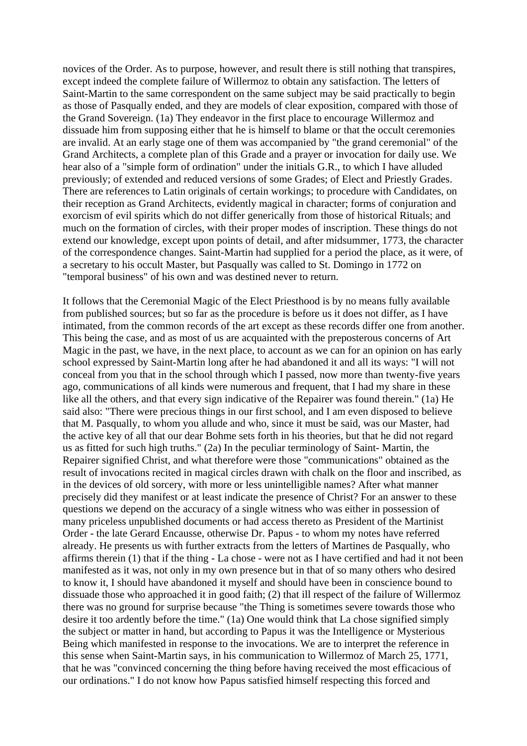novices of the Order. As to purpose, however, and result there is still nothing that transpires, except indeed the complete failure of Willermoz to obtain any satisfaction. The letters of Saint-Martin to the same correspondent on the same subject may be said practically to begin as those of Pasqually ended, and they are models of clear exposition, compared with those of the Grand Sovereign. (1a) They endeavor in the first place to encourage Willermoz and dissuade him from supposing either that he is himself to blame or that the occult ceremonies are invalid. At an early stage one of them was accompanied by "the grand ceremonial" of the Grand Architects, a complete plan of this Grade and a prayer or invocation for daily use. We hear also of a "simple form of ordination" under the initials G.R., to which I have alluded previously; of extended and reduced versions of some Grades; of Elect and Priestly Grades. There are references to Latin originals of certain workings; to procedure with Candidates, on their reception as Grand Architects, evidently magical in character; forms of conjuration and exorcism of evil spirits which do not differ generically from those of historical Rituals; and much on the formation of circles, with their proper modes of inscription. These things do not extend our knowledge, except upon points of detail, and after midsummer, 1773, the character of the correspondence changes. Saint-Martin had supplied for a period the place, as it were, of a secretary to his occult Master, but Pasqually was called to St. Domingo in 1772 on "temporal business" of his own and was destined never to return.

It follows that the Ceremonial Magic of the Elect Priesthood is by no means fully available from published sources; but so far as the procedure is before us it does not differ, as I have intimated, from the common records of the art except as these records differ one from another. This being the case, and as most of us are acquainted with the preposterous concerns of Art Magic in the past, we have, in the next place, to account as we can for an opinion on has early school expressed by Saint-Martin long after he had abandoned it and all its ways: "I will not conceal from you that in the school through which I passed, now more than twenty-five years ago, communications of all kinds were numerous and frequent, that I had my share in these like all the others, and that every sign indicative of the Repairer was found therein." (1a) He said also: "There were precious things in our first school, and I am even disposed to believe that M. Pasqually, to whom you allude and who, since it must be said, was our Master, had the active key of all that our dear Bohme sets forth in his theories, but that he did not regard us as fitted for such high truths." (2a) In the peculiar terminology of Saint- Martin, the Repairer signified Christ, and what therefore were those "communications" obtained as the result of invocations recited in magical circles drawn with chalk on the floor and inscribed, as in the devices of old sorcery, with more or less unintelligible names? After what manner precisely did they manifest or at least indicate the presence of Christ? For an answer to these questions we depend on the accuracy of a single witness who was either in possession of many priceless unpublished documents or had access thereto as President of the Martinist Order - the late Gerard Encausse, otherwise Dr. Papus - to whom my notes have referred already. He presents us with further extracts from the letters of Martines de Pasqually, who affirms therein (1) that if the thing - La chose - were not as I have certified and had it not been manifested as it was, not only in my own presence but in that of so many others who desired to know it, I should have abandoned it myself and should have been in conscience bound to dissuade those who approached it in good faith; (2) that ill respect of the failure of Willermoz there was no ground for surprise because "the Thing is sometimes severe towards those who desire it too ardently before the time." (1a) One would think that La chose signified simply the subject or matter in hand, but according to Papus it was the Intelligence or Mysterious Being which manifested in response to the invocations. We are to interpret the reference in this sense when Saint-Martin says, in his communication to Willermoz of March 25, 1771, that he was "convinced concerning the thing before having received the most efficacious of our ordinations." I do not know how Papus satisfied himself respecting this forced and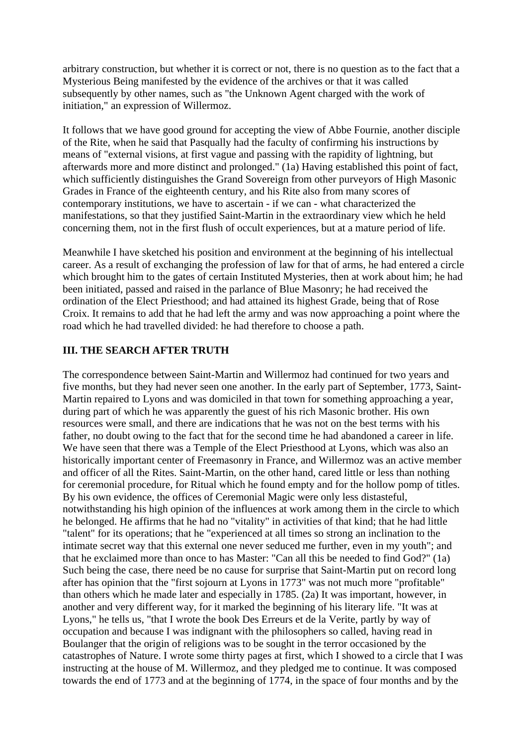arbitrary construction, but whether it is correct or not, there is no question as to the fact that a Mysterious Being manifested by the evidence of the archives or that it was called subsequently by other names, such as "the Unknown Agent charged with the work of initiation," an expression of Willermoz.

It follows that we have good ground for accepting the view of Abbe Fournie, another disciple of the Rite, when he said that Pasqually had the faculty of confirming his instructions by means of "external visions, at first vague and passing with the rapidity of lightning, but afterwards more and more distinct and prolonged." (1a) Having established this point of fact, which sufficiently distinguishes the Grand Sovereign from other purveyors of High Masonic Grades in France of the eighteenth century, and his Rite also from many scores of contemporary institutions, we have to ascertain - if we can - what characterized the manifestations, so that they justified Saint-Martin in the extraordinary view which he held concerning them, not in the first flush of occult experiences, but at a mature period of life.

Meanwhile I have sketched his position and environment at the beginning of his intellectual career. As a result of exchanging the profession of law for that of arms, he had entered a circle which brought him to the gates of certain Instituted Mysteries, then at work about him; he had been initiated, passed and raised in the parlance of Blue Masonry; he had received the ordination of the Elect Priesthood; and had attained its highest Grade, being that of Rose Croix. It remains to add that he had left the army and was now approaching a point where the road which he had travelled divided: he had therefore to choose a path.

# **III. THE SEARCH AFTER TRUTH**

The correspondence between Saint-Martin and Willermoz had continued for two years and five months, but they had never seen one another. In the early part of September, 1773, Saint-Martin repaired to Lyons and was domiciled in that town for something approaching a year, during part of which he was apparently the guest of his rich Masonic brother. His own resources were small, and there are indications that he was not on the best terms with his father, no doubt owing to the fact that for the second time he had abandoned a career in life. We have seen that there was a Temple of the Elect Priesthood at Lyons, which was also an historically important center of Freemasonry in France, and Willermoz was an active member and officer of all the Rites. Saint-Martin, on the other hand, cared little or less than nothing for ceremonial procedure, for Ritual which he found empty and for the hollow pomp of titles. By his own evidence, the offices of Ceremonial Magic were only less distasteful, notwithstanding his high opinion of the influences at work among them in the circle to which he belonged. He affirms that he had no "vitality" in activities of that kind; that he had little "talent" for its operations; that he "experienced at all times so strong an inclination to the intimate secret way that this external one never seduced me further, even in my youth"; and that he exclaimed more than once to has Master: "Can all this be needed to find God?" (1a) Such being the case, there need be no cause for surprise that Saint-Martin put on record long after has opinion that the "first sojourn at Lyons in 1773" was not much more "profitable" than others which he made later and especially in 1785. (2a) It was important, however, in another and very different way, for it marked the beginning of his literary life. "It was at Lyons," he tells us, "that I wrote the book Des Erreurs et de la Verite, partly by way of occupation and because I was indignant with the philosophers so called, having read in Boulanger that the origin of religions was to be sought in the terror occasioned by the catastrophes of Nature. I wrote some thirty pages at first, which I showed to a circle that I was instructing at the house of M. Willermoz, and they pledged me to continue. It was composed towards the end of 1773 and at the beginning of 1774, in the space of four months and by the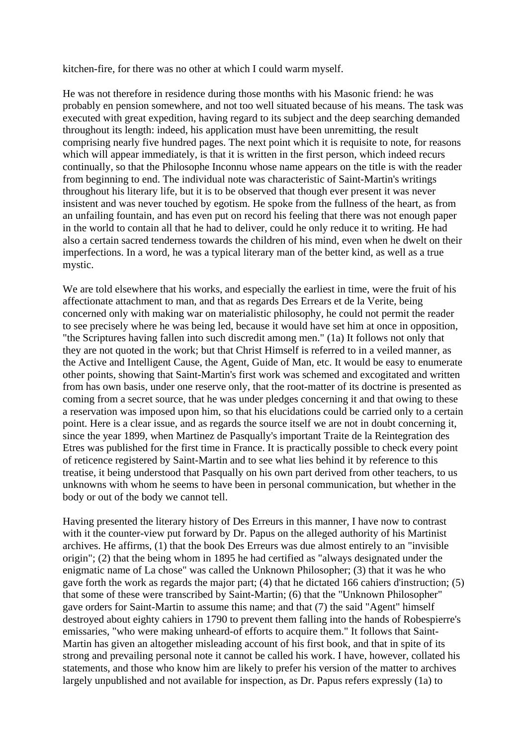kitchen-fire, for there was no other at which I could warm myself.

He was not therefore in residence during those months with his Masonic friend: he was probably en pension somewhere, and not too well situated because of his means. The task was executed with great expedition, having regard to its subject and the deep searching demanded throughout its length: indeed, his application must have been unremitting, the result comprising nearly five hundred pages. The next point which it is requisite to note, for reasons which will appear immediately, is that it is written in the first person, which indeed recurs continually, so that the Philosophe Inconnu whose name appears on the title is with the reader from beginning to end. The individual note was characteristic of Saint-Martin's writings throughout his literary life, but it is to be observed that though ever present it was never insistent and was never touched by egotism. He spoke from the fullness of the heart, as from an unfailing fountain, and has even put on record his feeling that there was not enough paper in the world to contain all that he had to deliver, could he only reduce it to writing. He had also a certain sacred tenderness towards the children of his mind, even when he dwelt on their imperfections. In a word, he was a typical literary man of the better kind, as well as a true mystic.

We are told elsewhere that his works, and especially the earliest in time, were the fruit of his affectionate attachment to man, and that as regards Des Errears et de la Verite, being concerned only with making war on materialistic philosophy, he could not permit the reader to see precisely where he was being led, because it would have set him at once in opposition, "the Scriptures having fallen into such discredit among men." (1a) It follows not only that they are not quoted in the work; but that Christ Himself is referred to in a veiled manner, as the Active and Intelligent Cause, the Agent, Guide of Man, etc. It would be easy to enumerate other points, showing that Saint-Martin's first work was schemed and excogitated and written from has own basis, under one reserve only, that the root-matter of its doctrine is presented as coming from a secret source, that he was under pledges concerning it and that owing to these a reservation was imposed upon him, so that his elucidations could be carried only to a certain point. Here is a clear issue, and as regards the source itself we are not in doubt concerning it, since the year 1899, when Martinez de Pasqually's important Traite de la Reintegration des Etres was published for the first time in France. It is practically possible to check every point of reticence registered by Saint-Martin and to see what lies behind it by reference to this treatise, it being understood that Pasqually on his own part derived from other teachers, to us unknowns with whom he seems to have been in personal communication, but whether in the body or out of the body we cannot tell.

Having presented the literary history of Des Erreurs in this manner, I have now to contrast with it the counter-view put forward by Dr. Papus on the alleged authority of his Martinist archives. He affirms, (1) that the book Des Erreurs was due almost entirely to an "invisible origin"; (2) that the being whom in 1895 he had certified as "always designated under the enigmatic name of La chose" was called the Unknown Philosopher; (3) that it was he who gave forth the work as regards the major part; (4) that he dictated 166 cahiers d'instruction; (5) that some of these were transcribed by Saint-Martin; (6) that the "Unknown Philosopher" gave orders for Saint-Martin to assume this name; and that (7) the said "Agent" himself destroyed about eighty cahiers in 1790 to prevent them falling into the hands of Robespierre's emissaries, "who were making unheard-of efforts to acquire them." It follows that Saint-Martin has given an altogether misleading account of his first book, and that in spite of its strong and prevailing personal note it cannot be called his work. I have, however, collated his statements, and those who know him are likely to prefer his version of the matter to archives largely unpublished and not available for inspection, as Dr. Papus refers expressly (1a) to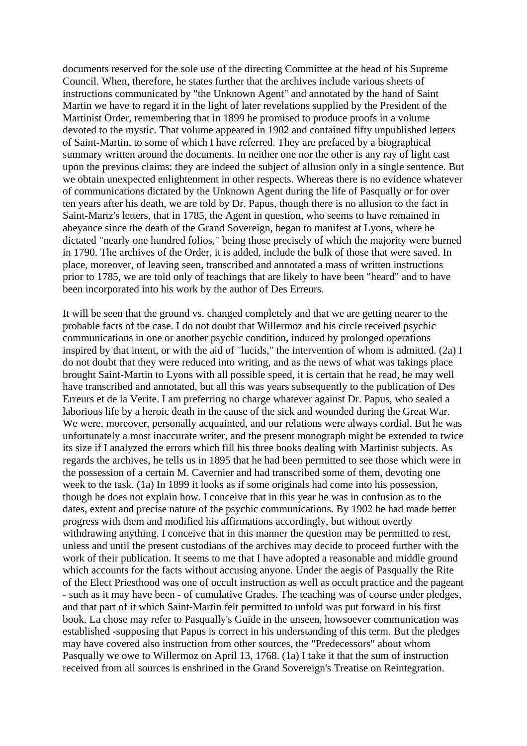documents reserved for the sole use of the directing Committee at the head of his Supreme Council. When, therefore, he states further that the archives include various sheets of instructions communicated by "the Unknown Agent" and annotated by the hand of Saint Martin we have to regard it in the light of later revelations supplied by the President of the Martinist Order, remembering that in 1899 he promised to produce proofs in a volume devoted to the mystic. That volume appeared in 1902 and contained fifty unpublished letters of Saint-Martin, to some of which I have referred. They are prefaced by a biographical summary written around the documents. In neither one nor the other is any ray of light cast upon the previous claims: they are indeed the subject of allusion only in a single sentence. But we obtain unexpected enlightenment in other respects. Whereas there is no evidence whatever of communications dictated by the Unknown Agent during the life of Pasqually or for over ten years after his death, we are told by Dr. Papus, though there is no allusion to the fact in Saint-Martz's letters, that in 1785, the Agent in question, who seems to have remained in abeyance since the death of the Grand Sovereign, began to manifest at Lyons, where he dictated "nearly one hundred folios," being those precisely of which the majority were burned in 1790. The archives of the Order, it is added, include the bulk of those that were saved. In place, moreover, of leaving seen, transcribed and annotated a mass of written instructions prior to 1785, we are told only of teachings that are likely to have been "heard" and to have been incorporated into his work by the author of Des Erreurs.

It will be seen that the ground vs. changed completely and that we are getting nearer to the probable facts of the case. I do not doubt that Willermoz and his circle received psychic communications in one or another psychic condition, induced by prolonged operations inspired by that intent, or with the aid of "lucids," the intervention of whom is admitted. (2a) I do not doubt that they were reduced into writing, and as the news of what was takings place brought Saint-Martin to Lyons with all possible speed, it is certain that he read, he may well have transcribed and annotated, but all this was years subsequently to the publication of Des Erreurs et de la Verite. I am preferring no charge whatever against Dr. Papus, who sealed a laborious life by a heroic death in the cause of the sick and wounded during the Great War. We were, moreover, personally acquainted, and our relations were always cordial. But he was unfortunately a most inaccurate writer, and the present monograph might be extended to twice its size if I analyzed the errors which fill his three books dealing with Martinist subjects. As regards the archives, he tells us in 1895 that he had been permitted to see those which were in the possession of a certain M. Cavernier and had transcribed some of them, devoting one week to the task. (1a) In 1899 it looks as if some originals had come into his possession, though he does not explain how. I conceive that in this year he was in confusion as to the dates, extent and precise nature of the psychic communications. By 1902 he had made better progress with them and modified his affirmations accordingly, but without overtly withdrawing anything. I conceive that in this manner the question may be permitted to rest, unless and until the present custodians of the archives may decide to proceed further with the work of their publication. It seems to me that I have adopted a reasonable and middle ground which accounts for the facts without accusing anyone. Under the aegis of Pasqually the Rite of the Elect Priesthood was one of occult instruction as well as occult practice and the pageant - such as it may have been - of cumulative Grades. The teaching was of course under pledges, and that part of it which Saint-Martin felt permitted to unfold was put forward in his first book. La chose may refer to Pasqually's Guide in the unseen, howsoever communication was established -supposing that Papus is correct in his understanding of this term. But the pledges may have covered also instruction from other sources, the "Predecessors" about whom Pasqually we owe to Willermoz on April 13, 1768. (1a) I take it that the sum of instruction received from all sources is enshrined in the Grand Sovereign's Treatise on Reintegration.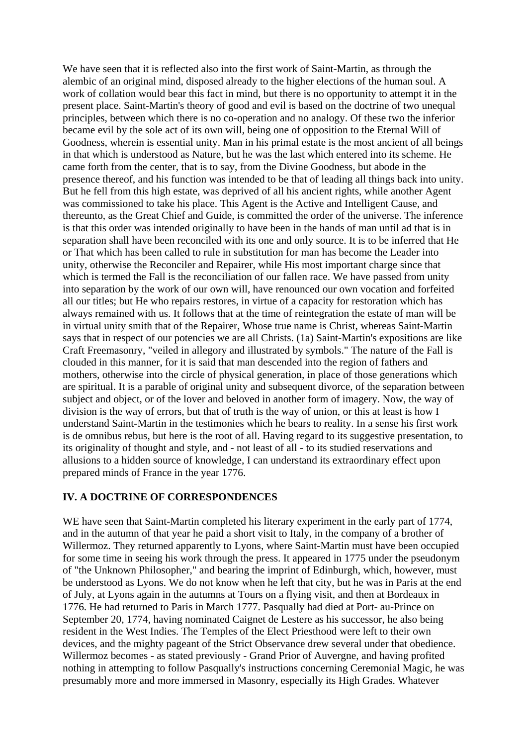We have seen that it is reflected also into the first work of Saint-Martin, as through the alembic of an original mind, disposed already to the higher elections of the human soul. A work of collation would bear this fact in mind, but there is no opportunity to attempt it in the present place. Saint-Martin's theory of good and evil is based on the doctrine of two unequal principles, between which there is no co-operation and no analogy. Of these two the inferior became evil by the sole act of its own will, being one of opposition to the Eternal Will of Goodness, wherein is essential unity. Man in his primal estate is the most ancient of all beings in that which is understood as Nature, but he was the last which entered into its scheme. He came forth from the center, that is to say, from the Divine Goodness, but abode in the presence thereof, and his function was intended to be that of leading all things back into unity. But he fell from this high estate, was deprived of all his ancient rights, while another Agent was commissioned to take his place. This Agent is the Active and Intelligent Cause, and thereunto, as the Great Chief and Guide, is committed the order of the universe. The inference is that this order was intended originally to have been in the hands of man until ad that is in separation shall have been reconciled with its one and only source. It is to be inferred that He or That which has been called to rule in substitution for man has become the Leader into unity, otherwise the Reconciler and Repairer, while His most important charge since that which is termed the Fall is the reconciliation of our fallen race. We have passed from unity into separation by the work of our own will, have renounced our own vocation and forfeited all our titles; but He who repairs restores, in virtue of a capacity for restoration which has always remained with us. It follows that at the time of reintegration the estate of man will be in virtual unity smith that of the Repairer, Whose true name is Christ, whereas Saint-Martin says that in respect of our potencies we are all Christs. (1a) Saint-Martin's expositions are like Craft Freemasonry, "veiled in allegory and illustrated by symbols." The nature of the Fall is clouded in this manner, for it is said that man descended into the region of fathers and mothers, otherwise into the circle of physical generation, in place of those generations which are spiritual. It is a parable of original unity and subsequent divorce, of the separation between subject and object, or of the lover and beloved in another form of imagery. Now, the way of division is the way of errors, but that of truth is the way of union, or this at least is how I understand Saint-Martin in the testimonies which he bears to reality. In a sense his first work is de omnibus rebus, but here is the root of all. Having regard to its suggestive presentation, to its originality of thought and style, and - not least of all - to its studied reservations and allusions to a hidden source of knowledge, I can understand its extraordinary effect upon prepared minds of France in the year 1776.

## **IV. A DOCTRINE OF CORRESPONDENCES**

WE have seen that Saint-Martin completed his literary experiment in the early part of 1774, and in the autumn of that year he paid a short visit to Italy, in the company of a brother of Willermoz. They returned apparently to Lyons, where Saint-Martin must have been occupied for some time in seeing his work through the press. It appeared in 1775 under the pseudonym of "the Unknown Philosopher," and bearing the imprint of Edinburgh, which, however, must be understood as Lyons. We do not know when he left that city, but he was in Paris at the end of July, at Lyons again in the autumns at Tours on a flying visit, and then at Bordeaux in 1776. He had returned to Paris in March 1777. Pasqually had died at Port- au-Prince on September 20, 1774, having nominated Caignet de Lestere as his successor, he also being resident in the West Indies. The Temples of the Elect Priesthood were left to their own devices, and the mighty pageant of the Strict Observance drew several under that obedience. Willermoz becomes - as stated previously - Grand Prior of Auvergne, and having profited nothing in attempting to follow Pasqually's instructions concerning Ceremonial Magic, he was presumably more and more immersed in Masonry, especially its High Grades. Whatever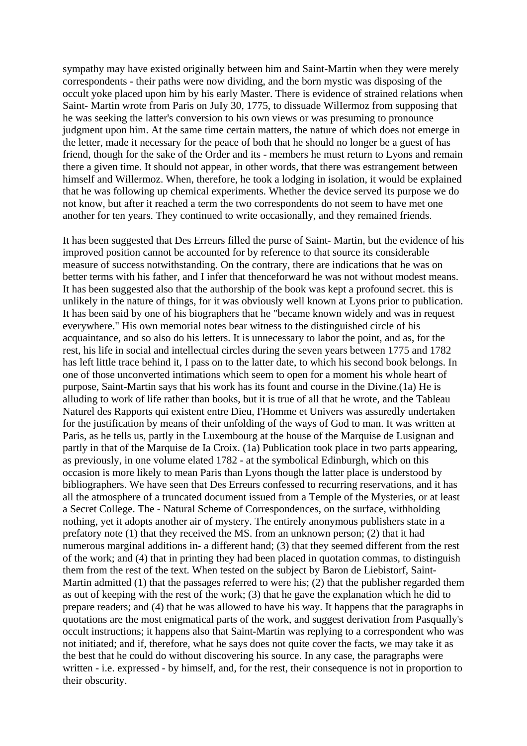sympathy may have existed originally between him and Saint-Martin when they were merely correspondents - their paths were now dividing, and the born mystic was disposing of the occult yoke placed upon him by his early Master. There is evidence of strained relations when Saint- Martin wrote from Paris on JuIy 30, 1775, to dissuade WilIermoz from supposing that he was seeking the latter's conversion to his own views or was presuming to pronounce judgment upon him. At the same time certain matters, the nature of which does not emerge in the letter, made it necessary for the peace of both that he should no longer be a guest of has friend, though for the sake of the Order and its - members he must return to Lyons and remain there a given time. It should not appear, in other words, that there was estrangement between himself and Willermoz. When, therefore, he took a lodging in isolation, it would be explained that he was following up chemical experiments. Whether the device served its purpose we do not know, but after it reached a term the two correspondents do not seem to have met one another for ten years. They continued to write occasionally, and they remained friends.

It has been suggested that Des Erreurs filled the purse of Saint- Martin, but the evidence of his improved position cannot be accounted for by reference to that source its considerable measure of success notwithstanding. On the contrary, there are indications that he was on better terms with his father, and I infer that thenceforward he was not without modest means. It has been suggested also that the authorship of the book was kept a profound secret. this is unlikely in the nature of things, for it was obviously well known at Lyons prior to publication. It has been said by one of his biographers that he "became known widely and was in request everywhere." His own memorial notes bear witness to the distinguished circle of his acquaintance, and so also do his letters. It is unnecessary to labor the point, and as, for the rest, his life in social and intellectual circles during the seven years between 1775 and 1782 has left little trace behind it, I pass on to the latter date, to which his second book belongs. In one of those unconverted intimations which seem to open for a moment his whole heart of purpose, Saint-Martin says that his work has its fount and course in the Divine.(1a) He is alluding to work of life rather than books, but it is true of all that he wrote, and the Tableau Naturel des Rapports qui existent entre Dieu, I'Homme et Univers was assuredly undertaken for the justification by means of their unfolding of the ways of God to man. It was written at Paris, as he tells us, partly in the Luxembourg at the house of the Marquise de Lusignan and partly in that of the Marquise de Ia Croix. (1a) Publication took place in two parts appearing, as previously, in one volume elated 1782 - at the symbolical Edinburgh, which on this occasion is more likely to mean Paris than Lyons though the latter place is understood by bibliographers. We have seen that Des Erreurs confessed to recurring reservations, and it has all the atmosphere of a truncated document issued from a Temple of the Mysteries, or at least a Secret College. The - Natural Scheme of Correspondences, on the surface, withholding nothing, yet it adopts another air of mystery. The entirely anonymous publishers state in a prefatory note (1) that they received the MS. from an unknown person; (2) that it had numerous marginal additions in- a different hand; (3) that they seemed different from the rest of the work; and (4) that in printing they had been placed in quotation commas, to distinguish them from the rest of the text. When tested on the subject by Baron de Liebistorf, Saint-Martin admitted (1) that the passages referred to were his; (2) that the publisher regarded them as out of keeping with the rest of the work; (3) that he gave the explanation which he did to prepare readers; and (4) that he was allowed to have his way. It happens that the paragraphs in quotations are the most enigmatical parts of the work, and suggest derivation from Pasqually's occult instructions; it happens also that Saint-Martin was replying to a correspondent who was not initiated; and if, therefore, what he says does not quite cover the facts, we may take it as the best that he could do without discovering his source. In any case, the paragraphs were written - i.e. expressed - by himself, and, for the rest, their consequence is not in proportion to their obscurity.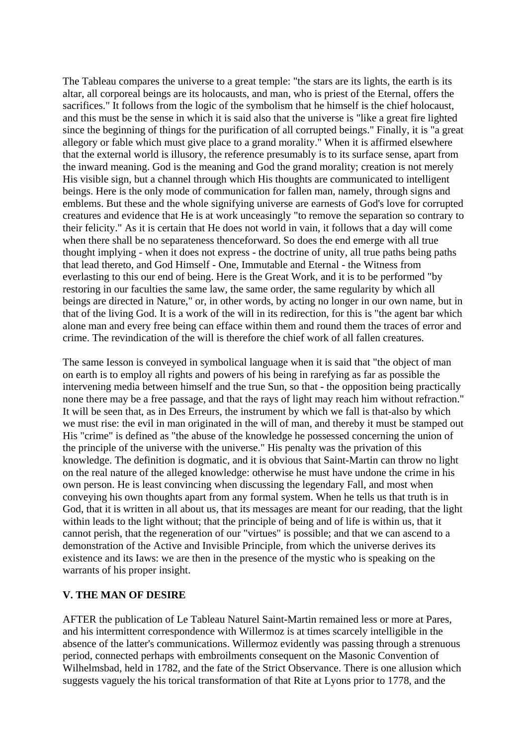The Tableau compares the universe to a great temple: "the stars are its lights, the earth is its altar, all corporeal beings are its holocausts, and man, who is priest of the Eternal, offers the sacrifices." It follows from the logic of the symbolism that he himself is the chief holocaust, and this must be the sense in which it is said also that the universe is "like a great fire lighted since the beginning of things for the purification of all corrupted beings." Finally, it is "a great allegory or fable which must give place to a grand morality." When it is affirmed elsewhere that the external world is illusory, the reference presumably is to its surface sense, apart from the inward meaning. God is the meaning and God the grand morality; creation is not merely His visible sign, but a channel through which His thoughts are communicated to intelligent beings. Here is the only mode of communication for fallen man, namely, through signs and emblems. But these and the whole signifying universe are earnests of God's love for corrupted creatures and evidence that He is at work unceasingly "to remove the separation so contrary to their felicity." As it is certain that He does not world in vain, it follows that a day will come when there shall be no separateness thenceforward. So does the end emerge with all true thought implying - when it does not express - the doctrine of unity, all true paths being paths that lead thereto, and God Himself - One, Immutable and Eternal - the Witness from everlasting to this our end of being. Here is the Great Work, and it is to be performed "by restoring in our faculties the same law, the same order, the same regularity by which all beings are directed in Nature," or, in other words, by acting no longer in our own name, but in that of the living God. It is a work of the will in its redirection, for this is "the agent bar which alone man and every free being can efface within them and round them the traces of error and crime. The revindication of the will is therefore the chief work of all fallen creatures.

The same Iesson is conveyed in symbolical language when it is said that "the object of man on earth is to employ all rights and powers of his being in rarefying as far as possible the intervening media between himself and the true Sun, so that - the opposition being practically none there may be a free passage, and that the rays of light may reach him without refraction." It will be seen that, as in Des Erreurs, the instrument by which we fall is that-also by which we must rise: the evil in man originated in the will of man, and thereby it must be stamped out His "crime" is defined as "the abuse of the knowledge he possessed concerning the union of the principle of the universe with the universe." His penalty was the privation of this knowledge. The definition is dogmatic, and it is obvious that Saint-Martin can throw no light on the real nature of the alleged knowledge: otherwise he must have undone the crime in his own person. He is least convincing when discussing the legendary Fall, and most when conveying his own thoughts apart from any formal system. When he tells us that truth is in God, that it is written in all about us, that its messages are meant for our reading, that the light within leads to the light without; that the principle of being and of life is within us, that it cannot perish, that the regeneration of our "virtues" is possible; and that we can ascend to a demonstration of the Active and Invisible Principle, from which the universe derives its existence and its Iaws: we are then in the presence of the mystic who is speaking on the warrants of his proper insight.

#### **V. THE MAN OF DESIRE**

AFTER the publication of Le Tableau Naturel Saint-Martin remained less or more at Pares, and his intermittent correspondence with Willermoz is at times scarcely intelligible in the absence of the latter's communications. Willermoz evidently was passing through a strenuous period, connected perhaps with embroilments consequent on the Masonic Convention of Wilhelmsbad, held in 1782, and the fate of the Strict Observance. There is one allusion which suggests vaguely the his torical transformation of that Rite at Lyons prior to 1778, and the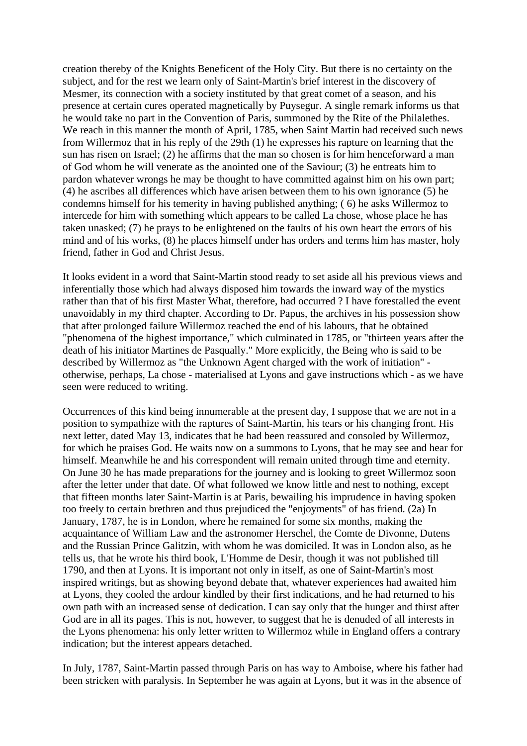creation thereby of the Knights Beneficent of the Holy City. But there is no certainty on the subject, and for the rest we learn only of Saint-Martin's brief interest in the discovery of Mesmer, its connection with a society instituted by that great comet of a season, and his presence at certain cures operated magnetically by Puysegur. A single remark informs us that he would take no part in the Convention of Paris, summoned by the Rite of the Philalethes. We reach in this manner the month of April, 1785, when Saint Martin had received such news from Willermoz that in his reply of the 29th (1) he expresses his rapture on learning that the sun has risen on Israel; (2) he affirms that the man so chosen is for him henceforward a man of God whom he will venerate as the anointed one of the Saviour; (3) he entreats him to pardon whatever wrongs he may be thought to have committed against him on his own part; (4) he ascribes all differences which have arisen between them to his own ignorance (5) he condemns himself for his temerity in having published anything; ( 6) he asks Willermoz to intercede for him with something which appears to be called La chose, whose place he has taken unasked; (7) he prays to be enlightened on the faults of his own heart the errors of his mind and of his works, (8) he places himself under has orders and terms him has master, holy friend, father in God and Christ Jesus.

It looks evident in a word that Saint-Martin stood ready to set aside all his previous views and inferentially those which had always disposed him towards the inward way of the mystics rather than that of his first Master What, therefore, had occurred ? I have forestalled the event unavoidably in my third chapter. According to Dr. Papus, the archives in his possession show that after prolonged failure Willermoz reached the end of his labours, that he obtained "phenomena of the highest importance," which culminated in 1785, or "thirteen years after the death of his initiator Martines de Pasqually." More explicitly, the Being who is said to be described by Willermoz as "the Unknown Agent charged with the work of initiation" otherwise, perhaps, La chose - materialised at Lyons and gave instructions which - as we have seen were reduced to writing.

Occurrences of this kind being innumerable at the present day, I suppose that we are not in a position to sympathize with the raptures of Saint-Martin, his tears or his changing front. His next letter, dated May 13, indicates that he had been reassured and consoled by Willermoz, for which he praises God. He waits now on a summons to Lyons, that he may see and hear for himself. Meanwhile he and his correspondent will remain united through time and eternity. On June 30 he has made preparations for the journey and is looking to greet Willermoz soon after the letter under that date. Of what followed we know little and nest to nothing, except that fifteen months later Saint-Martin is at Paris, bewailing his imprudence in having spoken too freely to certain brethren and thus prejudiced the "enjoyments" of has friend. (2a) In January, 1787, he is in London, where he remained for some six months, making the acquaintance of William Law and the astronomer Herschel, the Comte de Divonne, Dutens and the Russian Prince Galitzin, with whom he was domiciled. It was in London also, as he tells us, that he wrote his third book, L'Homme de Desir, though it was not published till 1790, and then at Lyons. It is important not only in itself, as one of Saint-Martin's most inspired writings, but as showing beyond debate that, whatever experiences had awaited him at Lyons, they cooled the ardour kindled by their first indications, and he had returned to his own path with an increased sense of dedication. I can say only that the hunger and thirst after God are in all its pages. This is not, however, to suggest that he is denuded of all interests in the Lyons phenomena: his only letter written to Willermoz while in England offers a contrary indication; but the interest appears detached.

In July, 1787, Saint-Martin passed through Paris on has way to Amboise, where his father had been stricken with paralysis. In September he was again at Lyons, but it was in the absence of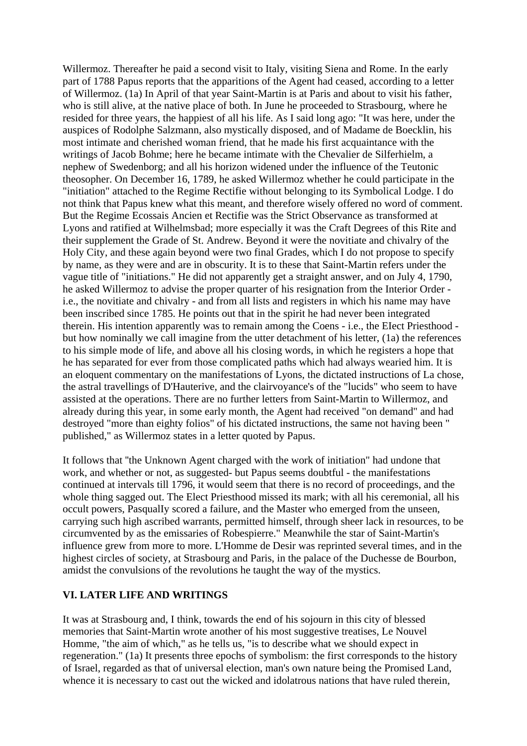Willermoz. Thereafter he paid a second visit to Italy, visiting Siena and Rome. In the early part of 1788 Papus reports that the apparitions of the Agent had ceased, according to a letter of Willermoz. (1a) In April of that year Saint-Martin is at Paris and about to visit his father, who is still alive, at the native place of both. In June he proceeded to Strasbourg, where he resided for three years, the happiest of all his life. As I said long ago: "It was here, under the auspices of Rodolphe Salzmann, also mystically disposed, and of Madame de Boecklin, his most intimate and cherished woman friend, that he made his first acquaintance with the writings of Jacob Bohme; here he became intimate with the Chevalier de Silferhielm, a nephew of Swedenborg; and all his horizon widened under the influence of the Teutonic theosopher. On December 16, 1789, he asked Willermoz whether he could participate in the "initiation" attached to the Regime Rectifie without belonging to its Symbolical Lodge. I do not think that Papus knew what this meant, and therefore wisely offered no word of comment. But the Regime Ecossais Ancien et Rectifie was the Strict Observance as transformed at Lyons and ratified at Wilhelmsbad; more especially it was the Craft Degrees of this Rite and their supplement the Grade of St. Andrew. Beyond it were the novitiate and chivalry of the Holy City, and these again beyond were two final Grades, which I do not propose to specify by name, as they were and are in obscurity. It is to these that Saint-Martin refers under the vague title of "initiations." He did not apparently get a straight answer, and on July 4, 1790, he asked Willermoz to advise the proper quarter of his resignation from the Interior Order i.e., the novitiate and chivalry - and from all lists and registers in which his name may have been inscribed since 1785. He points out that in the spirit he had never been integrated therein. His intention apparently was to remain among the Coens - i.e., the EIect Priesthood but how nominally we call imagine from the utter detachment of his letter, (1a) the references to his simple mode of life, and above all his closing words, in which he registers a hope that he has separated for ever from those complicated paths which had always wearied him. It is an eloquent commentary on the manifestations of Lyons, the dictated instructions of La chose, the astral travellings of D'Hauterive, and the clairvoyance's of the "lucids" who seem to have assisted at the operations. There are no further letters from Saint-Martin to Willermoz, and already during this year, in some early month, the Agent had received "on demand" and had destroyed "more than eighty folios" of his dictated instructions, the same not having been " published," as Willermoz states in a letter quoted by Papus.

It follows that ''the Unknown Agent charged with the work of initiation" had undone that work, and whether or not, as suggested- but Papus seems doubtful - the manifestations continued at intervals till 1796, it would seem that there is no record of proceedings, and the whole thing sagged out. The Elect Priesthood missed its mark; with all his ceremonial, all his occult powers, PasqualIy scored a failure, and the Master who emerged from the unseen, carrying such high ascribed warrants, permitted himself, through sheer lack in resources, to be circumvented by as the emissaries of Robespierre." Meanwhile the star of Saint-Martin's influence grew from more to more. L'Homme de Desir was reprinted several times, and in the highest circles of society, at Strasbourg and Paris, in the palace of the Duchesse de Bourbon, amidst the convulsions of the revolutions he taught the way of the mystics.

#### **VI. LATER LIFE AND WRITINGS**

It was at Strasbourg and, I think, towards the end of his sojourn in this city of blessed memories that Saint-Martin wrote another of his most suggestive treatises, Le Nouvel Homme, "the aim of which," as he tells us, "is to describe what we should expect in regeneration." (1a) It presents three epochs of symbolism: the first corresponds to the history of Israel, regarded as that of universal election, man's own nature being the Promised Land, whence it is necessary to cast out the wicked and idolatrous nations that have ruled therein,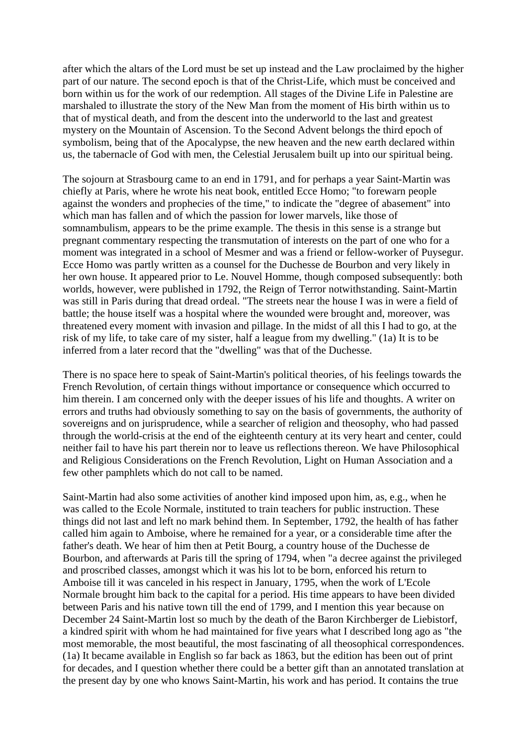after which the altars of the Lord must be set up instead and the Law proclaimed by the higher part of our nature. The second epoch is that of the Christ-Life, which must be conceived and born within us for the work of our redemption. All stages of the Divine Life in Palestine are marshaled to illustrate the story of the New Man from the moment of His birth within us to that of mystical death, and from the descent into the underworld to the last and greatest mystery on the Mountain of Ascension. To the Second Advent belongs the third epoch of symbolism, being that of the Apocalypse, the new heaven and the new earth declared within us, the tabernacle of God with men, the Celestial Jerusalem built up into our spiritual being.

The sojourn at Strasbourg came to an end in 1791, and for perhaps a year Saint-Martin was chiefly at Paris, where he wrote his neat book, entitled Ecce Homo; "to forewarn people against the wonders and prophecies of the time," to indicate the "degree of abasement" into which man has fallen and of which the passion for lower marvels, like those of somnambulism, appears to be the prime example. The thesis in this sense is a strange but pregnant commentary respecting the transmutation of interests on the part of one who for a moment was integrated in a school of Mesmer and was a friend or fellow-worker of Puysegur. Ecce Homo was partly written as a counsel for the Duchesse de Bourbon and very likely in her own house. It appeared prior to Le. Nouvel Homme, though composed subsequently: both worlds, however, were published in 1792, the Reign of Terror notwithstanding. Saint-Martin was still in Paris during that dread ordeal. "The streets near the house I was in were a field of battle; the house itself was a hospital where the wounded were brought and, moreover, was threatened every moment with invasion and pillage. In the midst of all this I had to go, at the risk of my life, to take care of my sister, half a league from my dwelling." (1a) It is to be inferred from a later record that the "dwelling" was that of the Duchesse.

There is no space here to speak of Saint-Martin's political theories, of his feelings towards the French Revolution, of certain things without importance or consequence which occurred to him therein. I am concerned only with the deeper issues of his life and thoughts. A writer on errors and truths had obviously something to say on the basis of governments, the authority of sovereigns and on jurisprudence, while a searcher of religion and theosophy, who had passed through the world-crisis at the end of the eighteenth century at its very heart and center, could neither fail to have his part therein nor to leave us reflections thereon. We have Philosophical and Religious Considerations on the French Revolution, Light on Human Association and a few other pamphlets which do not call to be named.

Saint-Martin had also some activities of another kind imposed upon him, as, e.g., when he was called to the Ecole Normale, instituted to train teachers for public instruction. These things did not last and left no mark behind them. In September, 1792, the health of has father called him again to Amboise, where he remained for a year, or a considerable time after the father's death. We hear of him then at Petit Bourg, a country house of the Duchesse de Bourbon, and afterwards at Paris till the spring of 1794, when "a decree against the privileged and proscribed classes, amongst which it was his lot to be born, enforced his return to Amboise till it was canceled in his respect in January, 1795, when the work of L'Ecole Normale brought him back to the capital for a period. His time appears to have been divided between Paris and his native town till the end of 1799, and I mention this year because on December 24 Saint-Martin lost so much by the death of the Baron Kirchberger de Liebistorf, a kindred spirit with whom he had maintained for five years what I described long ago as "the most memorable, the most beautiful, the most fascinating of all theosophical correspondences. (1a) It became available in English so far back as 1863, but the edition has been out of print for decades, and I question whether there could be a better gift than an annotated translation at the present day by one who knows Saint-Martin, his work and has period. It contains the true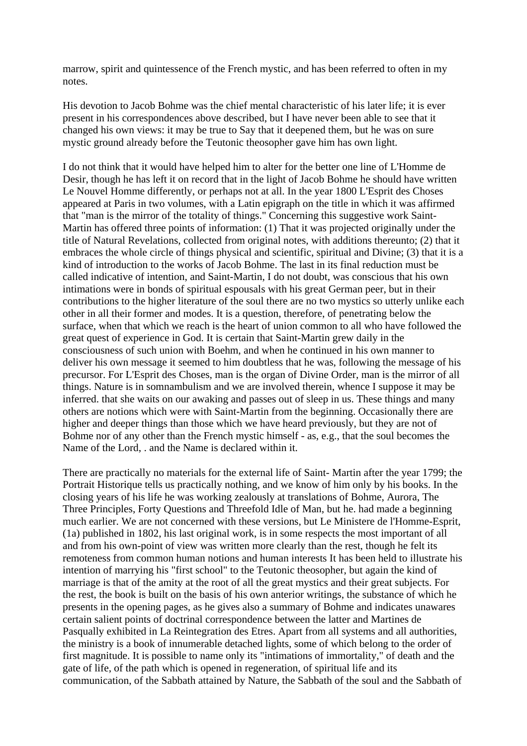marrow, spirit and quintessence of the French mystic, and has been referred to often in my notes.

His devotion to Jacob Bohme was the chief mental characteristic of his later life; it is ever present in his correspondences above described, but I have never been able to see that it changed his own views: it may be true to Say that it deepened them, but he was on sure mystic ground already before the Teutonic theosopher gave him has own light.

I do not think that it would have helped him to alter for the better one line of L'Homme de Desir, though he has left it on record that in the light of Jacob Bohme he should have written Le Nouvel Homme differently, or perhaps not at all. In the year 1800 L'Esprit des Choses appeared at Paris in two volumes, with a Latin epigraph on the title in which it was affirmed that "man is the mirror of the totality of things." Concerning this suggestive work Saint-Martin has offered three points of information: (1) That it was projected originally under the title of Natural Revelations, collected from original notes, with additions thereunto; (2) that it embraces the whole circle of things physical and scientific, spiritual and Divine; (3) that it is a kind of introduction to the works of Jacob Bohme. The last in its final reduction must be called indicative of intention, and Saint-Martin, I do not doubt, was conscious that his own intimations were in bonds of spiritual espousals with his great German peer, but in their contributions to the higher literature of the soul there are no two mystics so utterly unlike each other in all their former and modes. It is a question, therefore, of penetrating below the surface, when that which we reach is the heart of union common to all who have followed the great quest of experience in God. It is certain that Saint-Martin grew daily in the consciousness of such union with Boehm, and when he continued in his own manner to deliver his own message it seemed to him doubtless that he was, following the message of his precursor. For L'Esprit des Choses, man is the organ of Divine Order, man is the mirror of all things. Nature is in somnambulism and we are involved therein, whence I suppose it may be inferred. that she waits on our awaking and passes out of sleep in us. These things and many others are notions which were with Saint-Martin from the beginning. Occasionally there are higher and deeper things than those which we have heard previously, but they are not of Bohme nor of any other than the French mystic himself - as, e.g., that the soul becomes the Name of the Lord, . and the Name is declared within it.

There are practically no materials for the external life of Saint- Martin after the year 1799; the Portrait Historique tells us practically nothing, and we know of him only by his books. In the closing years of his life he was working zealously at translations of Bohme, Aurora, The Three Principles, Forty Questions and Threefold Idle of Man, but he. had made a beginning much earlier. We are not concerned with these versions, but Le Ministere de l'Homme-Esprit, (1a) published in 1802, his last original work, is in some respects the most important of all and from his own-point of view was written more clearly than the rest, though he felt its remoteness from common human notions and human interests It has been held to illustrate his intention of marrying his "first school" to the Teutonic theosopher, but again the kind of marriage is that of the amity at the root of all the great mystics and their great subjects. For the rest, the book is built on the basis of his own anterior writings, the substance of which he presents in the opening pages, as he gives also a summary of Bohme and indicates unawares certain salient points of doctrinal correspondence between the latter and Martines de Pasqually exhibited in La Reintegration des Etres. Apart from all systems and all authorities, the ministry is a book of innumerable detached lights, some of which belong to the order of first magnitude. It is possible to name only its "intimations of immortality," of death and the gate of life, of the path which is opened in regeneration, of spiritual life and its communication, of the Sabbath attained by Nature, the Sabbath of the soul and the Sabbath of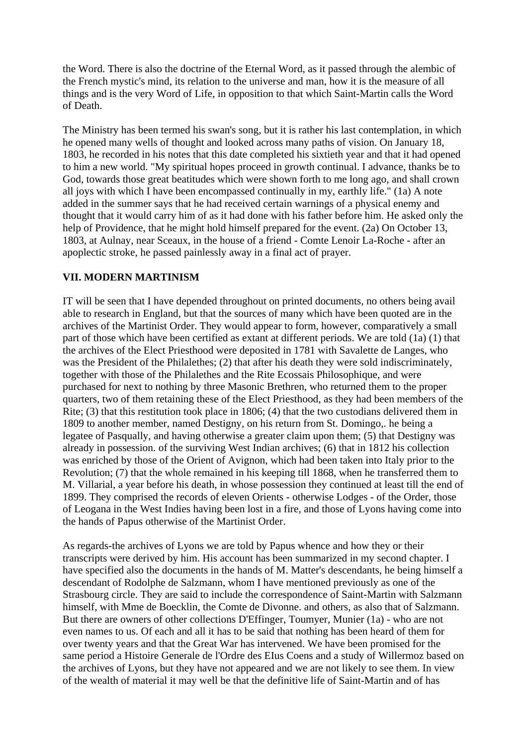the Word. There is also the doctrine of the Eternal Word, as it passed through the alembic of the French mystic's mind, its relation to the universe and man, how it is the measure of all things and is the very Word of Life, in opposition to that which Saint-Martin calls the Word of Death.

The Ministry has been termed his swan's song, but it is rather his last contemplation, in which he opened many wells of thought and looked across many paths of vision. On January 18, 1803, he recorded in his notes that this date completed his sixtieth year and that it had opened to him a new world. "My spiritual hopes proceed in growth continual. I advance, thanks be to God, towards those great beatitudes which were shown forth to me long ago, and shall crown all joys with which I have been encompassed continually in my, earthly life." (1a) A note added in the summer says that he had received certain warnings of a physical enemy and thought that it would carry him of as it had done with his father before him. He asked only the help of Providence, that he might hold himself prepared for the event. (2a) On October 13, 1803, at Aulnay, near Sceaux, in the house of a friend - Comte Lenoir La-Roche - after an apoplectic stroke, he passed painlessly away in a final act of prayer.

## **VII. MODERN MARTINISM**

IT will be seen that I have depended throughout on printed documents, no others being avail able to research in England, but that the sources of many which have been quoted are in the archives of the Martinist Order. They would appear to form, however, comparatively a small part of those which have been certified as extant at different periods. We are told (1a) (1) that the archives of the Elect Priesthood were deposited in 1781 with Savalette de Langes, who was the President of the Philalethes; (2) that after his death they were sold indiscriminately, together with those of the Philalethes and the Rite Ecossais Philosophique, and were purchased for next to nothing by three Masonic Brethren, who returned them to the proper quarters, two of them retaining these of the Elect Priesthood, as they had been members of the Rite; (3) that this restitution took place in 1806; (4) that the two custodians delivered them in 1809 to another member, named Destigny, on his return from St. Domingo,. he being a legatee of Pasqually, and having otherwise a greater claim upon them; (5) that Destigny was already in possession. of the surviving West Indian archives; (6) that in 1812 his collection was enriched by those of the Orient of Avignon, which had been taken into Italy prior to the Revolution; (7) that the whole remained in his keeping till 1868, when he transferred them to M. Villarial, a year before his death, in whose possession they continued at least till the end of 1899. They comprised the records of eleven Orients - otherwise Lodges - of the Order, those of Leogana in the West Indies having been lost in a fire, and those of Lyons having come into the hands of Papus otherwise of the Martinist Order.

As regards-the archives of Lyons we are told by Papus whence and how they or their transcripts were derived by him. His account has been summarized in my second chapter. I have specified also the documents in the hands of M. Matter's descendants, he being himself a descendant of Rodolphe de Salzmann, whom I have mentioned previously as one of the Strasbourg circle. They are said to include the correspondence of Saint-Martin with Salzmann himself, with Mme de Boecklin, the Comte de Divonne. and others, as also that of Salzmann. But there are owners of other collections D'Effinger, Toumyer, Munier (1a) - who are not even names to us. Of each and all it has to be said that nothing has been heard of them for over twenty years and that the Great War has intervened. We have been promised for the same period a Histoire Generale de l'Ordre des EIus Coens and a study of Willermoz based on the archives of Lyons, but they have not appeared and we are not likely to see them. In view of the wealth of material it may well be that the definitive life of Saint-Martin and of has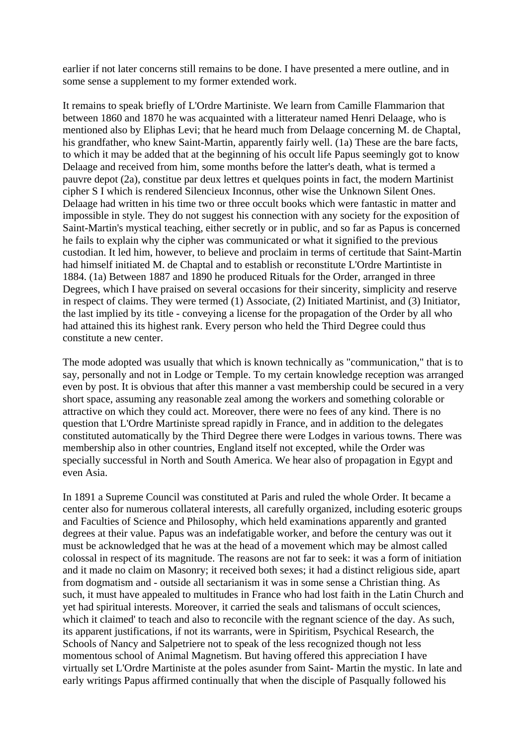earlier if not later concerns still remains to be done. I have presented a mere outline, and in some sense a supplement to my former extended work.

It remains to speak briefly of L'Ordre Martiniste. We learn from Camille Flammarion that between 1860 and 1870 he was acquainted with a litterateur named Henri Delaage, who is mentioned also by Eliphas Levi; that he heard much from Delaage concerning M. de Chaptal, his grandfather, who knew Saint-Martin, apparently fairly well. (1a) These are the bare facts, to which it may be added that at the beginning of his occult life Papus seemingly got to know Delaage and received from him, some months before the latter's death, what is termed a pauvre depot (2a), constitue par deux lettres et quelques points in fact, the modern Martinist cipher S I which is rendered Silencieux Inconnus, other wise the Unknown Silent Ones. Delaage had written in his time two or three occult books which were fantastic in matter and impossible in style. They do not suggest his connection with any society for the exposition of Saint-Martin's mystical teaching, either secretly or in public, and so far as Papus is concerned he fails to explain why the cipher was communicated or what it signified to the previous custodian. It led him, however, to believe and proclaim in terms of certitude that Saint-Martin had himself initiated M. de Chaptal and to establish or reconstitute L'Ordre Martintiste in 1884. (1a) Between 1887 and 1890 he produced Rituals for the Order, arranged in three Degrees, which I have praised on several occasions for their sincerity, simplicity and reserve in respect of claims. They were termed (1) Associate, (2) Initiated Martinist, and (3) Initiator, the last implied by its title - conveying a license for the propagation of the Order by all who had attained this its highest rank. Every person who held the Third Degree could thus constitute a new center.

The mode adopted was usually that which is known technically as "communication," that is to say, personally and not in Lodge or Temple. To my certain knowledge reception was arranged even by post. It is obvious that after this manner a vast membership could be secured in a very short space, assuming any reasonable zeal among the workers and something colorable or attractive on which they could act. Moreover, there were no fees of any kind. There is no question that L'Ordre Martiniste spread rapidly in France, and in addition to the delegates constituted automatically by the Third Degree there were Lodges in various towns. There was membership also in other countries, England itself not excepted, while the Order was specially successful in North and South America. We hear also of propagation in Egypt and even Asia.

In 1891 a Supreme Council was constituted at Paris and ruled the whole Order. It became a center also for numerous collateral interests, all carefully organized, including esoteric groups and Faculties of Science and Philosophy, which held examinations apparently and granted degrees at their value. Papus was an indefatigable worker, and before the century was out it must be acknowledged that he was at the head of a movement which may be almost called colossal in respect of its magnitude. The reasons are not far to seek: it was a form of initiation and it made no claim on Masonry; it received both sexes; it had a distinct religious side, apart from dogmatism and - outside all sectarianism it was in some sense a Christian thing. As such, it must have appealed to multitudes in France who had lost faith in the Latin Church and yet had spiritual interests. Moreover, it carried the seals and talismans of occult sciences, which it claimed' to teach and also to reconcile with the regnant science of the day. As such, its apparent justifications, if not its warrants, were in Spiritism, Psychical Research, the Schools of Nancy and Salpetriere not to speak of the less recognized though not less momentous school of Animal Magnetism. But having offered this appreciation I have virtually set L'Ordre Martiniste at the poles asunder from Saint- Martin the mystic. In late and early writings Papus affirmed continually that when the disciple of Pasqually followed his